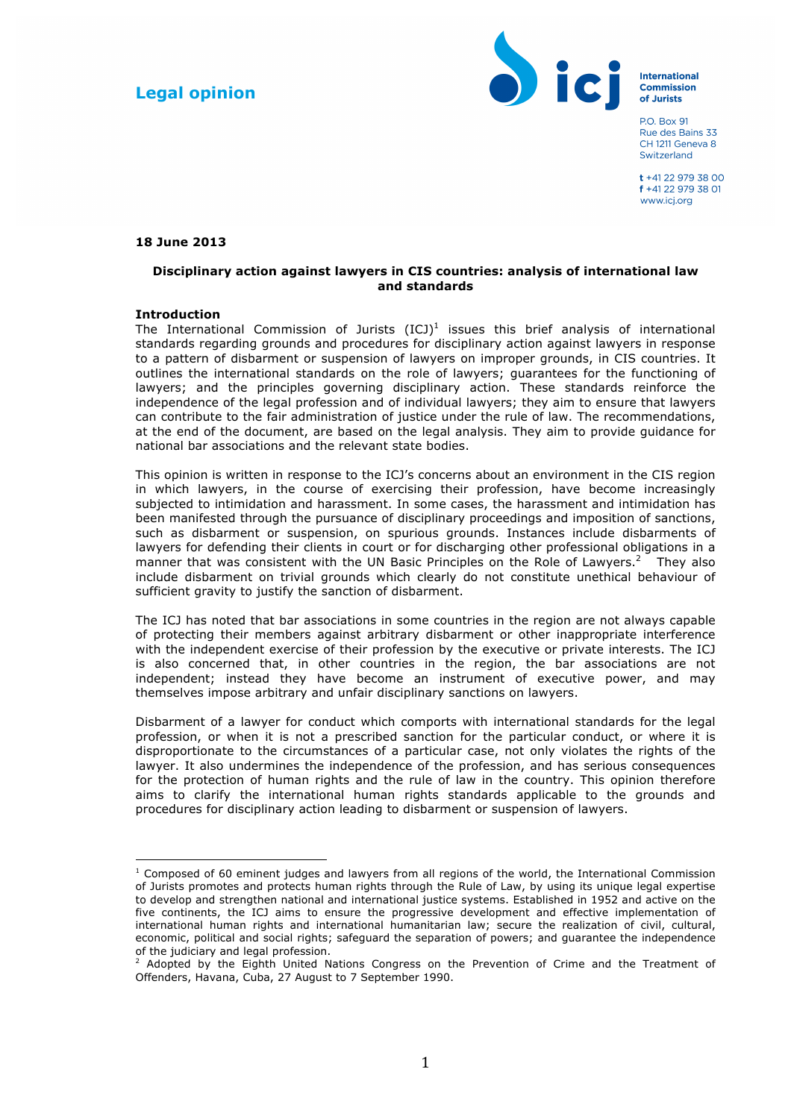# **Legal opinion**



**International Commission** of Jurists

**PO Box 91** Rue des Bains 33 CH 1211 Geneva 8 Switzerland

 $+41229797800$ f +41 22 979 38 01 www.ici.org

## **18 June 2013**

## **Disciplinary action against lawyers in CIS countries: analysis of international law and standards**

## **Introduction**

 

The International Commission of Jurists  $(ICJ)^1$  issues this brief analysis of international standards regarding grounds and procedures for disciplinary action against lawyers in response to a pattern of disbarment or suspension of lawyers on improper grounds, in CIS countries. It outlines the international standards on the role of lawyers; guarantees for the functioning of lawyers; and the principles governing disciplinary action. These standards reinforce the independence of the legal profession and of individual lawyers; they aim to ensure that lawyers can contribute to the fair administration of justice under the rule of law. The recommendations, at the end of the document, are based on the legal analysis. They aim to provide guidance for national bar associations and the relevant state bodies.

This opinion is written in response to the ICJ's concerns about an environment in the CIS region in which lawyers, in the course of exercising their profession, have become increasingly subjected to intimidation and harassment. In some cases, the harassment and intimidation has been manifested through the pursuance of disciplinary proceedings and imposition of sanctions, such as disbarment or suspension, on spurious grounds. Instances include disbarments of lawyers for defending their clients in court or for discharging other professional obligations in a manner that was consistent with the UN Basic Principles on the Role of Lawyers.<sup>2</sup> They also include disbarment on trivial grounds which clearly do not constitute unethical behaviour of sufficient gravity to justify the sanction of disbarment.

The ICJ has noted that bar associations in some countries in the region are not always capable of protecting their members against arbitrary disbarment or other inappropriate interference with the independent exercise of their profession by the executive or private interests. The ICJ is also concerned that, in other countries in the region, the bar associations are not independent; instead they have become an instrument of executive power, and may themselves impose arbitrary and unfair disciplinary sanctions on lawyers.

Disbarment of a lawyer for conduct which comports with international standards for the legal profession, or when it is not a prescribed sanction for the particular conduct, or where it is disproportionate to the circumstances of a particular case, not only violates the rights of the lawyer. It also undermines the independence of the profession, and has serious consequences for the protection of human rights and the rule of law in the country. This opinion therefore aims to clarify the international human rights standards applicable to the grounds and procedures for disciplinary action leading to disbarment or suspension of lawyers.

 $1$  Composed of 60 eminent judges and lawyers from all regions of the world, the International Commission of Jurists promotes and protects human rights through the Rule of Law, by using its unique legal expertise to develop and strengthen national and international justice systems. Established in 1952 and active on the five continents, the ICJ aims to ensure the progressive development and effective implementation of international human rights and international humanitarian law; secure the realization of civil, cultural, economic, political and social rights; safeguard the separation of powers; and guarantee the independence of the judiciary and legal profession.

<sup>&</sup>lt;sup>2</sup> Adopted by the Eighth United Nations Congress on the Prevention of Crime and the Treatment of Offenders, Havana, Cuba, 27 August to 7 September 1990.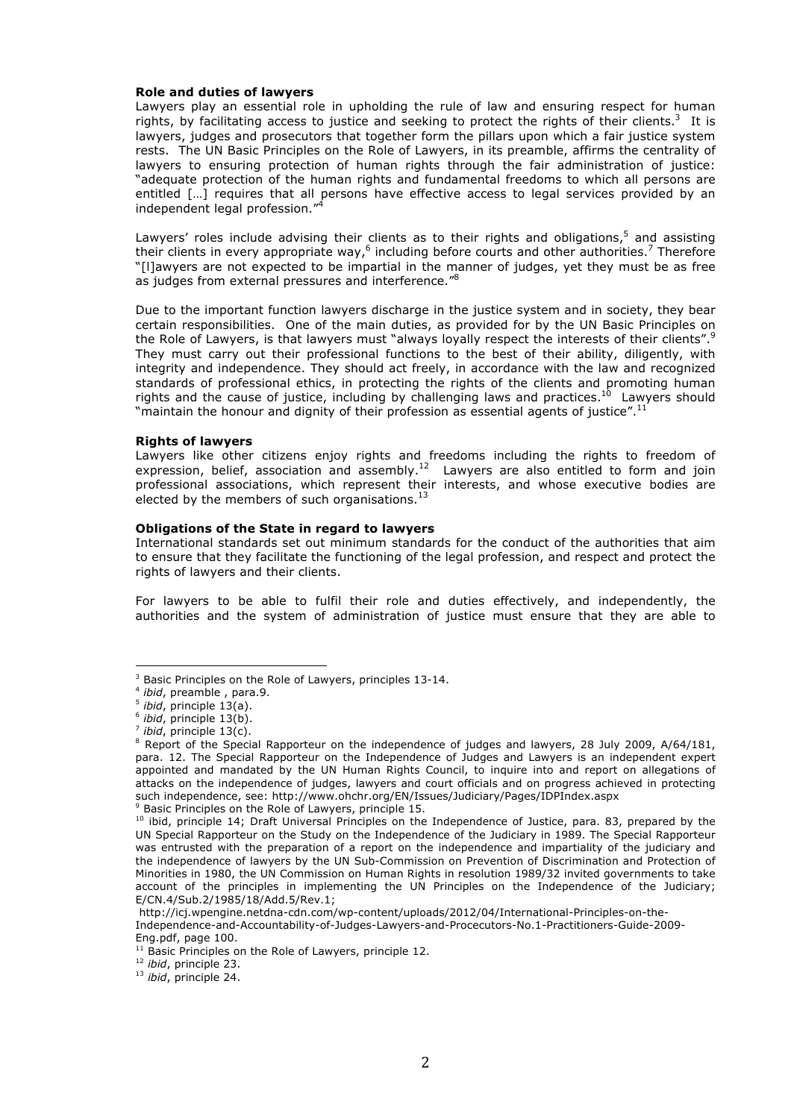#### **Role and duties of lawyers**

Lawyers play an essential role in upholding the rule of law and ensuring respect for human rights, by facilitating access to justice and seeking to protect the rights of their clients.<sup>3</sup> It is lawyers, judges and prosecutors that together form the pillars upon which a fair justice system rests. The UN Basic Principles on the Role of Lawyers, in its preamble, affirms the centrality of lawyers to ensuring protection of human rights through the fair administration of justice: "adequate protection of the human rights and fundamental freedoms to which all persons are entitled […] requires that all persons have effective access to legal services provided by an independent legal profession."<sup>4</sup>

Lawyers' roles include advising their clients as to their rights and obligations, $5$  and assisting their clients in every appropriate way, $6$  including before courts and other authorities.<sup>7</sup> Therefore "[l]awyers are not expected to be impartial in the manner of judges, yet they must be as free as judges from external pressures and interference."8

Due to the important function lawyers discharge in the justice system and in society, they bear certain responsibilities. One of the main duties, as provided for by the UN Basic Principles on the Role of Lawyers, is that lawyers must "always loyally respect the interests of their clients".<sup>9</sup> They must carry out their professional functions to the best of their ability, diligently, with integrity and independence. They should act freely, in accordance with the law and recognized standards of professional ethics, in protecting the rights of the clients and promoting human rights and the cause of justice, including by challenging laws and practices.<sup>10</sup> Lawyers should "maintain the honour and dignity of their profession as essential agents of justice".<sup>11</sup>

#### **Rights of lawyers**

Lawyers like other citizens enjoy rights and freedoms including the rights to freedom of expression, belief, association and assembly.<sup>12</sup> Lawyers are also entitled to form and join professional associations, which represent their interests, and whose executive bodies are elected by the members of such organisations.<sup>13</sup>

#### **Obligations of the State in regard to lawyers**

International standards set out minimum standards for the conduct of the authorities that aim to ensure that they facilitate the functioning of the legal profession, and respect and protect the rights of lawyers and their clients.

For lawyers to be able to fulfil their role and duties effectively, and independently, the authorities and the system of administration of justice must ensure that they are able to

 

<sup>9</sup> Basic Principles on the Role of Lawyers, principle 15.

<sup>12</sup> *ibid*, principle 23.

<sup>3</sup> Basic Principles on the Role of Lawyers, principles 13-14. 4 *ibid*, preamble , para.9.

<sup>5</sup> *ibid*, principle 13(a).

<sup>6</sup> *ibid*, principle 13(b).

<sup>7</sup> *ibid*, principle 13(c).

<sup>&</sup>lt;sup>8</sup> Report of the Special Rapporteur on the independence of judges and lawyers, 28 July 2009, A/64/181, para. 12. The Special Rapporteur on the Independence of Judges and Lawyers is an independent expert appointed and mandated by the UN Human Rights Council, to inquire into and report on allegations of attacks on the independence of judges, lawyers and court officials and on progress achieved in protecting such independence, see: http://www.ohchr.org/EN/Issues/Judiciary/Pages/IDPIndex.aspx

<sup>&</sup>lt;sup>10</sup> ibid, principle 14; Draft Universal Principles on the Independence of Justice, para. 83, prepared by the UN Special Rapporteur on the Study on the Independence of the Judiciary in 1989. The Special Rapporteur was entrusted with the preparation of a report on the independence and impartiality of the judiciary and the independence of lawyers by the UN Sub-Commission on Prevention of Discrimination and Protection of Minorities in 1980, the UN Commission on Human Rights in resolution 1989/32 invited governments to take account of the principles in implementing the UN Principles on the Independence of the Judiciary; E/CN.4/Sub.2/1985/18/Add.5/Rev.1;

http://icj.wpengine.netdna-cdn.com/wp-content/uploads/2012/04/International-Principles-on-the-Independence-and-Accountability-of-Judges-Lawyers-and-Procecutors-No.1-Practitioners-Guide-2009-

Eng.pdf, page 100.<br><sup>11</sup> Basic Principles on the Role of Lawyers, principle 12.

<sup>13</sup> *ibid*, principle 24.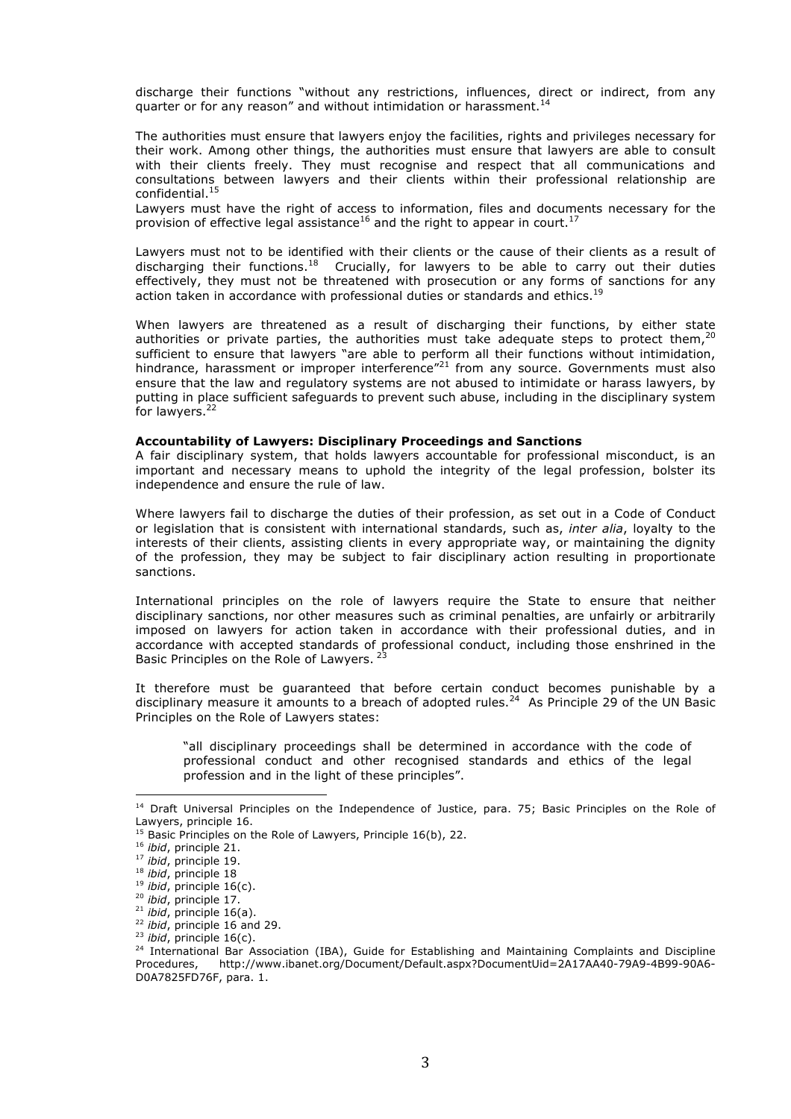discharge their functions "without any restrictions, influences, direct or indirect, from any quarter or for any reason" and without intimidation or harassment.<sup>14</sup>

The authorities must ensure that lawyers enjoy the facilities, rights and privileges necessary for their work. Among other things, the authorities must ensure that lawyers are able to consult with their clients freely. They must recognise and respect that all communications and consultations between lawyers and their clients within their professional relationship are confidential.<sup>15</sup>

Lawyers must have the right of access to information, files and documents necessary for the provision of effective legal assistance<sup>16</sup> and the right to appear in court.<sup>17</sup>

Lawyers must not to be identified with their clients or the cause of their clients as a result of discharging their functions.<sup>18</sup> Crucially, for lawyers to be able to carry out their duties effectively, they must not be threatened with prosecution or any forms of sanctions for any action taken in accordance with professional duties or standards and ethics.<sup>19</sup>

When lawyers are threatened as a result of discharging their functions, by either state authorities or private parties, the authorities must take adequate steps to protect them,<sup>20</sup> sufficient to ensure that lawyers "are able to perform all their functions without intimidation, hindrance, harassment or improper interference"<sup>21</sup> from any source. Governments must also ensure that the law and regulatory systems are not abused to intimidate or harass lawyers, by putting in place sufficient safeguards to prevent such abuse, including in the disciplinary system for lawyers.22

#### **Accountability of Lawyers: Disciplinary Proceedings and Sanctions**

A fair disciplinary system, that holds lawyers accountable for professional misconduct, is an important and necessary means to uphold the integrity of the legal profession, bolster its independence and ensure the rule of law.

Where lawyers fail to discharge the duties of their profession, as set out in a Code of Conduct or legislation that is consistent with international standards, such as, *inter alia*, loyalty to the interests of their clients, assisting clients in every appropriate way, or maintaining the dignity of the profession, they may be subject to fair disciplinary action resulting in proportionate sanctions.

International principles on the role of lawyers require the State to ensure that neither disciplinary sanctions, nor other measures such as criminal penalties, are unfairly or arbitrarily imposed on lawyers for action taken in accordance with their professional duties, and in accordance with accepted standards of professional conduct, including those enshrined in the Basic Principles on the Role of Lawyers.<sup>23</sup>

It therefore must be guaranteed that before certain conduct becomes punishable by a disciplinary measure it amounts to a breach of adopted rules. $^{24}$  As Principle 29 of the UN Basic Principles on the Role of Lawyers states:

"all disciplinary proceedings shall be determined in accordance with the code of professional conduct and other recognised standards and ethics of the legal profession and in the light of these principles".

<sup>&</sup>lt;sup>14</sup> Draft Universal Principles on the Independence of Justice, para. 75; Basic Principles on the Role of Lawyers, principle 16.

 $^{15}$  Basic Principles on the Role of Lawyers, Principle 16(b), 22.

<sup>16</sup> *ibid*, principle 21.

<sup>17</sup> *ibid*, principle 19.

<sup>18</sup> *ibid*, principle 18

<sup>19</sup> *ibid*, principle 16(c).

<sup>&</sup>lt;sup>20</sup> *ibid*, principle 17.<br><sup>21</sup> *ibid*, principle 16(a).

<sup>&</sup>lt;sup>22</sup> *ibid*, principle 16 and 29.<br><sup>23</sup> *ibid*, principle 16(c).

<sup>&</sup>lt;sup>24</sup> International Bar Association (IBA), Guide for Establishing and Maintaining Complaints and Discipline<br>Procedures, http://www.ibanet.org/Document/Default.aspx?DocumentUid=2A17AA40-79A9-4B99-90A6-Procedures, http://www.ibanet.org/Document/Default.aspx?DocumentUid=2A17AA40-79A9-4B99-90A6- D0A7825FD76F, para. 1.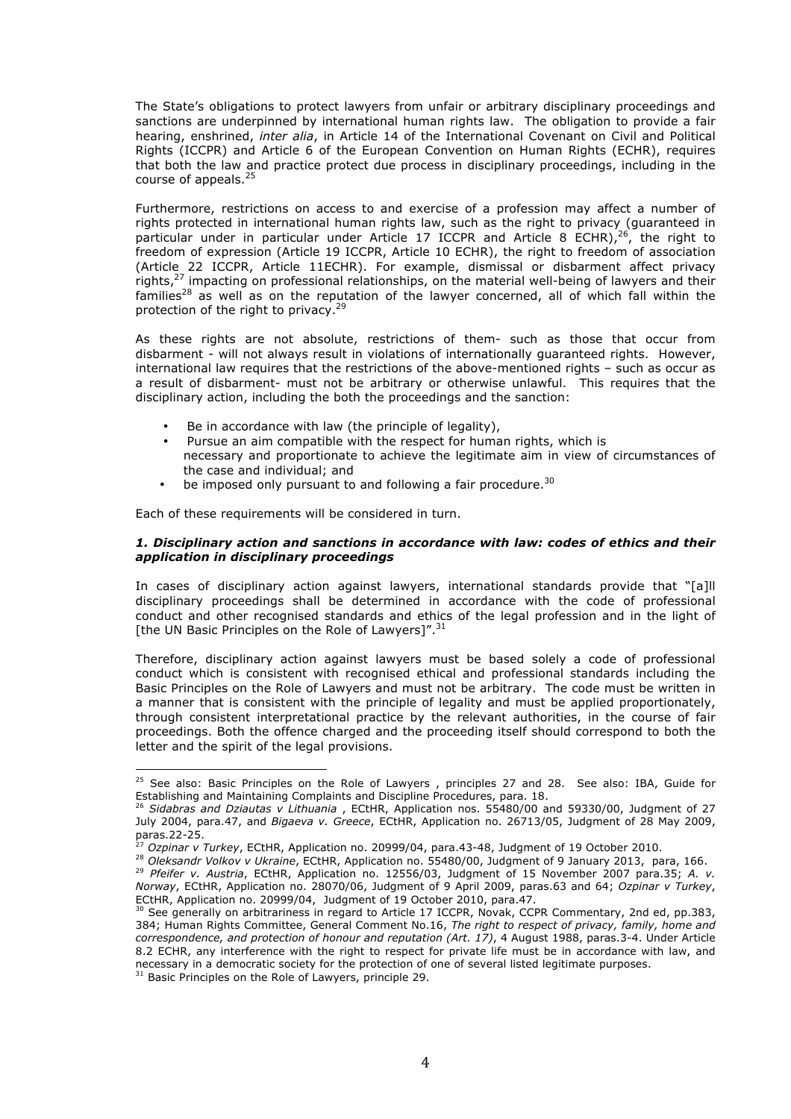The State's obligations to protect lawyers from unfair or arbitrary disciplinary proceedings and sanctions are underpinned by international human rights law. The obligation to provide a fair hearing, enshrined, *inter alia*, in Article 14 of the International Covenant on Civil and Political Rights (ICCPR) and Article 6 of the European Convention on Human Rights (ECHR), requires that both the law and practice protect due process in disciplinary proceedings, including in the course of appeals.<sup>25</sup>

Furthermore, restrictions on access to and exercise of a profession may affect a number of rights protected in international human rights law, such as the right to privacy (guaranteed in particular under in particular under Article 17 ICCPR and Article 8 ECHR),  $26$ , the right to freedom of expression (Article 19 ICCPR, Article 10 ECHR), the right to freedom of association (Article 22 ICCPR, Article 11ECHR). For example, dismissal or disbarment affect privacy rights,<sup>27</sup> impacting on professional relationships, on the material well-being of lawyers and their families<sup>28</sup> as well as on the reputation of the lawyer concerned, all of which fall within the protection of the right to privacy.<sup>29</sup>

As these rights are not absolute, restrictions of them- such as those that occur from disbarment - will not always result in violations of internationally guaranteed rights. However, international law requires that the restrictions of the above-mentioned rights – such as occur as a result of disbarment- must not be arbitrary or otherwise unlawful. This requires that the disciplinary action, including the both the proceedings and the sanction:

- Be in accordance with law (the principle of legality),
- Pursue an aim compatible with the respect for human rights, which is necessary and proportionate to achieve the legitimate aim in view of circumstances of the case and individual; and
- be imposed only pursuant to and following a fair procedure.<sup>30</sup>

Each of these requirements will be considered in turn.

## *1. Disciplinary action and sanctions in accordance with law: codes of ethics and their application in disciplinary proceedings*

In cases of disciplinary action against lawyers, international standards provide that "[a]ll disciplinary proceedings shall be determined in accordance with the code of professional conduct and other recognised standards and ethics of the legal profession and in the light of [the UN Basic Principles on the Role of Lawyers]".<sup>31</sup>

Therefore, disciplinary action against lawyers must be based solely a code of professional conduct which is consistent with recognised ethical and professional standards including the Basic Principles on the Role of Lawyers and must not be arbitrary. The code must be written in a manner that is consistent with the principle of legality and must be applied proportionately, through consistent interpretational practice by the relevant authorities, in the course of fair proceedings. Both the offence charged and the proceeding itself should correspond to both the letter and the spirit of the legal provisions.

<sup>31</sup> Basic Principles on the Role of Lawyers, principle 29.

 $^{25}$  See also: Basic Principles on the Role of Lawyers , principles 27 and 28. See also: IBA, Guide for Establishing and Maintaining Complaints and Discipline Procedures, para. 18.<br><sup>26</sup> *Sidabras and Dziautas v Lithuania* , ECtHR, Application nos. 55480/00 and 59330/00, Judgment of 27

July 2004, para.47, and *Bigaeva v. Greece*, ECtHR, Application no. 26713/05, Judgment of 28 May 2009,  $\rho$ aras.22-25.<br>27.

<sup>&</sup>lt;sup>27</sup> Ozpinar v Turkey, ECtHR, Application no. 20999/04, para.43-48, Judgment of 19 October 2010.<br><sup>28</sup> Oleksandr Volkov v Ukraine, ECtHR, Application no. 55480/00, Judgment of 9 January 2013, para, 166.<br><sup>29</sup> Pfeifer v. Aus

*Norway*, ECtHR, Application no. 28070/06, Judgment of 9 April 2009, paras.63 and 64; *Ozpinar v Turkey*, ECtHR, Application no. 20999/04, Judgment of 19 October 2010, para.47.

See generally on arbitrariness in regard to Article 17 ICCPR, Novak, CCPR Commentary, 2nd ed, pp.383, 384; Human Rights Committee, General Comment No.16, *The right to respect of privacy, family, home and correspondence, and protection of honour and reputation (Art. 17)*, 4 August 1988, paras.3-4. Under Article 8.2 ECHR, any interference with the right to respect for private life must be in accordance with law, and necessary in a democratic society for the protection of one of several listed legitimate purposes.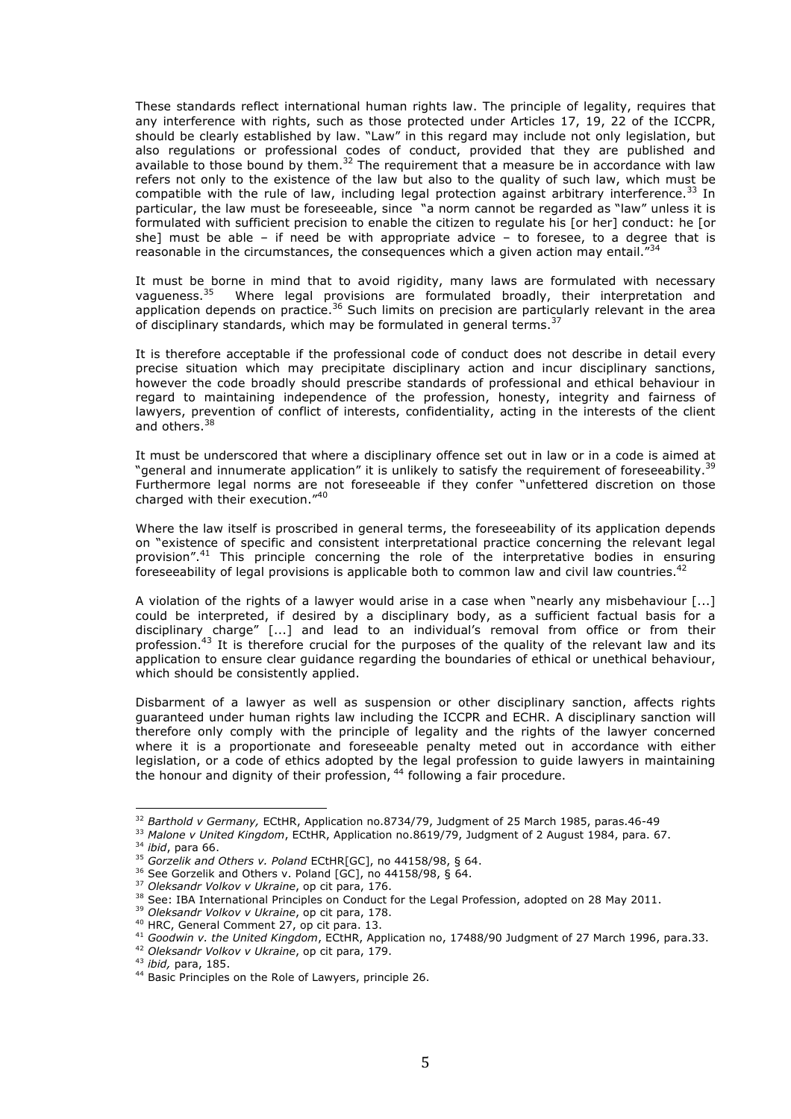These standards reflect international human rights law. The principle of legality, requires that any interference with rights, such as those protected under Articles 17, 19, 22 of the ICCPR, should be clearly established by law. "Law" in this regard may include not only legislation, but also regulations or professional codes of conduct, provided that they are published and available to those bound by them.<sup>32</sup> The requirement that a measure be in accordance with law refers not only to the existence of the law but also to the quality of such law, which must be compatible with the rule of law, including legal protection against arbitrary interference.<sup>33</sup> In particular, the law must be foreseeable, since "a norm cannot be regarded as "law" unless it is formulated with sufficient precision to enable the citizen to regulate his [or her] conduct: he [or she] must be able - if need be with appropriate advice - to foresee, to a degree that is reasonable in the circumstances, the consequences which a given action may entail.<sup>"34</sup>

It must be borne in mind that to avoid rigidity, many laws are formulated with necessary vagueness.<sup>35</sup> Where legal provisions are formulated broadly, their interpretation and application depends on practice.<sup>36</sup> Such limits on precision are particularly relevant in the area of disciplinary standards, which may be formulated in general terms.  $37$ 

It is therefore acceptable if the professional code of conduct does not describe in detail every precise situation which may precipitate disciplinary action and incur disciplinary sanctions, however the code broadly should prescribe standards of professional and ethical behaviour in regard to maintaining independence of the profession, honesty, integrity and fairness of lawyers, prevention of conflict of interests, confidentiality, acting in the interests of the client and others.<sup>38</sup>

It must be underscored that where a disciplinary offence set out in law or in a code is aimed at "general and innumerate application" it is unlikely to satisfy the requirement of foreseeability.<sup>39</sup> Furthermore legal norms are not foreseeable if they confer "unfettered discretion on those charged with their execution." $40$ 

Where the law itself is proscribed in general terms, the foreseeability of its application depends on "existence of specific and consistent interpretational practice concerning the relevant legal provision".<sup>41</sup> This principle concerning the role of the interpretative bodies in ensuring foreseeability of legal provisions is applicable both to common law and civil law countries.<sup>42</sup>

A violation of the rights of a lawyer would arise in a case when "nearly any misbehaviour [...] could be interpreted, if desired by a disciplinary body, as a sufficient factual basis for a disciplinary charge" [...] and lead to an individual's removal from office or from their profession.<sup>43</sup> It is therefore crucial for the purposes of the quality of the relevant law and its application to ensure clear guidance regarding the boundaries of ethical or unethical behaviour, which should be consistently applied.

Disbarment of a lawyer as well as suspension or other disciplinary sanction, affects rights guaranteed under human rights law including the ICCPR and ECHR. A disciplinary sanction will therefore only comply with the principle of legality and the rights of the lawyer concerned where it is a proportionate and foreseeable penalty meted out in accordance with either legislation, or a code of ethics adopted by the legal profession to guide lawyers in maintaining the honour and dignity of their profession, <sup>44</sup> following a fair procedure.

<sup>32</sup> *Barthold v Germany,* ECtHR, Application no.8734/79, Judgment of 25 March 1985, paras.46-49

<sup>&</sup>lt;sup>33</sup> Malone v United Kingdom, ECtHR, Application no.8619/79, Judgment of 2 August 1984, para. 67.<br><sup>34</sup> *ibid*, para 66.<br><sup>35</sup> Gorzelik and Others v. Poland ECtHR[GC], no 44158/98, § 64.

<sup>36</sup> See Gorzelik and Others v. Poland [GC], no 44158/98, § 64. 37 *Oleksandr Volkov v Ukraine*, op cit para, 176.

<sup>&</sup>lt;sup>38</sup> See: IBA International Principles on Conduct for the Legal Profession, adopted on 28 May 2011.<br><sup>39</sup> *Oleksandr Volkov v Ukraine*, op cit para, 178.<br><sup>40</sup> HRC, General Comment 27, op cit para. 13.

<sup>&</sup>lt;sup>41</sup> Goodwin v. the United Kingdom, ECtHR, Application no, 17488/90 Judgment of 27 March 1996, para.33. <sup>42</sup> Oleksandr Volkov v Ukraine, op cit para, 179.

<sup>43</sup> *ibid,* para, 185.

<sup>44</sup> Basic Principles on the Role of Lawyers, principle 26.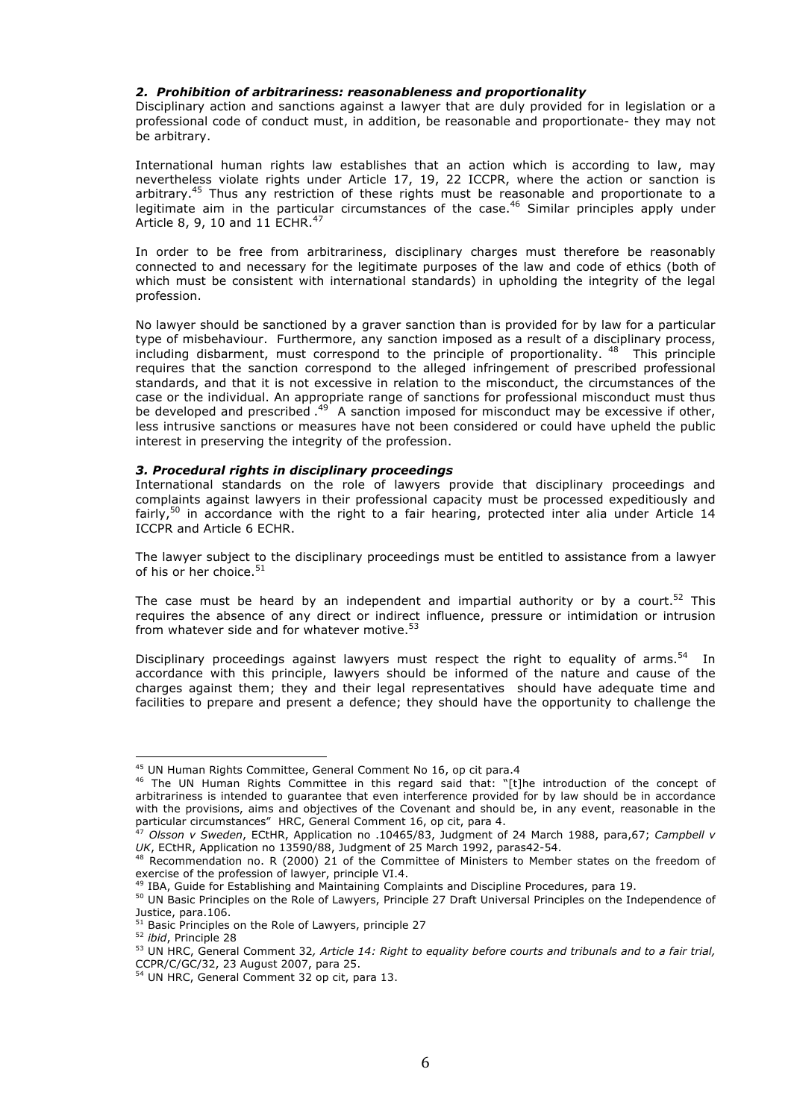### *2. Prohibition of arbitrariness: reasonableness and proportionality*

Disciplinary action and sanctions against a lawyer that are duly provided for in legislation or a professional code of conduct must, in addition, be reasonable and proportionate- they may not be arbitrary.

International human rights law establishes that an action which is according to law, may nevertheless violate rights under Article 17, 19, 22 ICCPR, where the action or sanction is arbitrary.45 Thus any restriction of these rights must be reasonable and proportionate to a legitimate aim in the particular circumstances of the case.<sup>46</sup> Similar principles apply under Article 8, 9, 10 and 11 ECHR.<sup>47</sup>

In order to be free from arbitrariness, disciplinary charges must therefore be reasonably connected to and necessary for the legitimate purposes of the law and code of ethics (both of which must be consistent with international standards) in upholding the integrity of the legal profession.

No lawyer should be sanctioned by a graver sanction than is provided for by law for a particular type of misbehaviour. Furthermore, any sanction imposed as a result of a disciplinary process, including disbarment, must correspond to the principle of proportionality. <sup>48</sup> This principle requires that the sanction correspond to the alleged infringement of prescribed professional standards, and that it is not excessive in relation to the misconduct, the circumstances of the case or the individual. An appropriate range of sanctions for professional misconduct must thus be developed and prescribed  $^{49}$  A sanction imposed for misconduct may be excessive if other, less intrusive sanctions or measures have not been considered or could have upheld the public interest in preserving the integrity of the profession.

## *3. Procedural rights in disciplinary proceedings*

International standards on the role of lawyers provide that disciplinary proceedings and complaints against lawyers in their professional capacity must be processed expeditiously and fairly,<sup>50</sup> in accordance with the right to a fair hearing, protected inter alia under Article 14 ICCPR and Article 6 ECHR.

The lawyer subject to the disciplinary proceedings must be entitled to assistance from a lawyer of his or her choice. $51$ 

The case must be heard by an independent and impartial authority or by a court.<sup>52</sup> This requires the absence of any direct or indirect influence, pressure or intimidation or intrusion from whatever side and for whatever motive.<sup>53</sup>

Disciplinary proceedings against lawyers must respect the right to equality of arms.<sup>54</sup> In accordance with this principle, lawyers should be informed of the nature and cause of the charges against them; they and their legal representatives should have adequate time and facilities to prepare and present a defence; they should have the opportunity to challenge the

 $45$  UN Human Rights Committee, General Comment No 16, op cit para.4

<sup>46</sup> The UN Human Rights Committee in this regard said that: "[t]he introduction of the concept of arbitrariness is intended to guarantee that even interference provided for by law should be in accordance with the provisions, aims and objectives of the Covenant and should be, in any event, reasonable in the particular circumstances" HRC, General Comment 16, op cit, para 4.

<sup>47</sup> *Olsson v Sweden*, ECtHR, Application no .10465/83, Judgment of 24 March 1988, para,67; *Campbell v UK*, ECtHR, Application no 13590/88, Judgment of 25 March 1992, paras42-54.

 $^{48}$  Recommendation no. R (2000) 21 of the Committee of Ministers to Member states on the freedom of exercise of the profession of lawyer, principle VI.4.

<sup>&</sup>lt;sup>49</sup> IBA, Guide for Establishing and Maintaining Complaints and Discipline Procedures, para 19.

<sup>50</sup> UN Basic Principles on the Role of Lawyers, Principle 27 Draft Universal Principles on the Independence of Justice, para.106.

 $51$  Basic Principles on the Role of Lawyers, principle 27

<sup>52</sup> *ibid*, Principle 28

<sup>53</sup> UN HRC, General Comment 32*, Article 14: Right to equality before courts and tribunals and to a fair trial,* CCPR/C/GC/32, 23 August 2007, para 25.

<sup>54</sup> UN HRC, General Comment 32 op cit, para 13.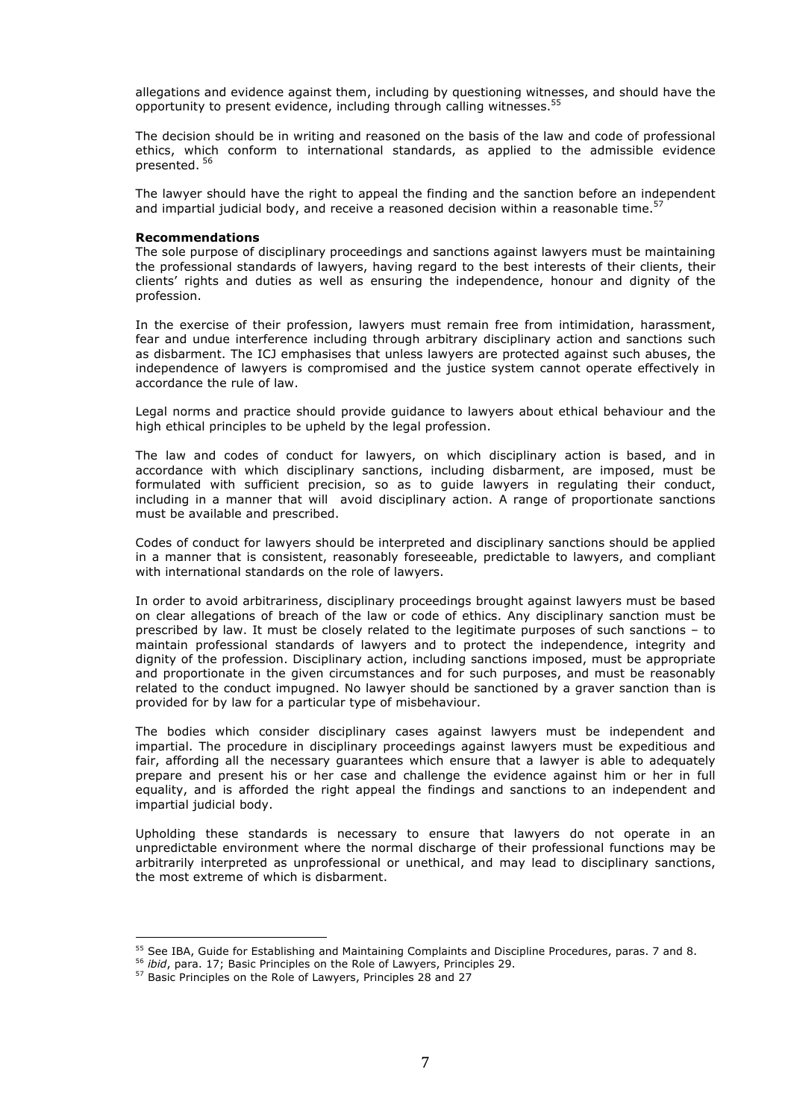allegations and evidence against them, including by questioning witnesses, and should have the opportunity to present evidence, including through calling witnesses.<sup>55</sup>

The decision should be in writing and reasoned on the basis of the law and code of professional ethics, which conform to international standards, as applied to the admissible evidence presented. <sup>56</sup>

The lawyer should have the right to appeal the finding and the sanction before an independent and impartial judicial body, and receive a reasoned decision within a reasonable time.<sup>57</sup>

#### **Recommendations**

The sole purpose of disciplinary proceedings and sanctions against lawyers must be maintaining the professional standards of lawyers, having regard to the best interests of their clients, their clients' rights and duties as well as ensuring the independence, honour and dignity of the profession.

In the exercise of their profession, lawyers must remain free from intimidation, harassment, fear and undue interference including through arbitrary disciplinary action and sanctions such as disbarment. The ICJ emphasises that unless lawyers are protected against such abuses, the independence of lawyers is compromised and the justice system cannot operate effectively in accordance the rule of law.

Legal norms and practice should provide guidance to lawyers about ethical behaviour and the high ethical principles to be upheld by the legal profession.

The law and codes of conduct for lawyers, on which disciplinary action is based, and in accordance with which disciplinary sanctions, including disbarment, are imposed, must be formulated with sufficient precision, so as to guide lawyers in regulating their conduct, including in a manner that will avoid disciplinary action. A range of proportionate sanctions must be available and prescribed.

Codes of conduct for lawyers should be interpreted and disciplinary sanctions should be applied in a manner that is consistent, reasonably foreseeable, predictable to lawyers, and compliant with international standards on the role of lawyers.

In order to avoid arbitrariness, disciplinary proceedings brought against lawyers must be based on clear allegations of breach of the law or code of ethics. Any disciplinary sanction must be prescribed by law. It must be closely related to the legitimate purposes of such sanctions – to maintain professional standards of lawyers and to protect the independence, integrity and dignity of the profession. Disciplinary action, including sanctions imposed, must be appropriate and proportionate in the given circumstances and for such purposes, and must be reasonably related to the conduct impugned. No lawyer should be sanctioned by a graver sanction than is provided for by law for a particular type of misbehaviour.

The bodies which consider disciplinary cases against lawyers must be independent and impartial. The procedure in disciplinary proceedings against lawyers must be expeditious and fair, affording all the necessary guarantees which ensure that a lawyer is able to adequately prepare and present his or her case and challenge the evidence against him or her in full equality, and is afforded the right appeal the findings and sanctions to an independent and impartial judicial body.

Upholding these standards is necessary to ensure that lawyers do not operate in an unpredictable environment where the normal discharge of their professional functions may be arbitrarily interpreted as unprofessional or unethical, and may lead to disciplinary sanctions, the most extreme of which is disbarment.

<sup>&</sup>lt;sup>55</sup> See IBA, Guide for Establishing and Maintaining Complaints and Discipline Procedures, paras. 7 and 8.<br><sup>56</sup> *ibid*, para. 17; Basic Principles on the Role of Lawyers, Principles 29.

<sup>&</sup>lt;sup>57</sup> Basic Principles on the Role of Lawyers, Principles 28 and 27